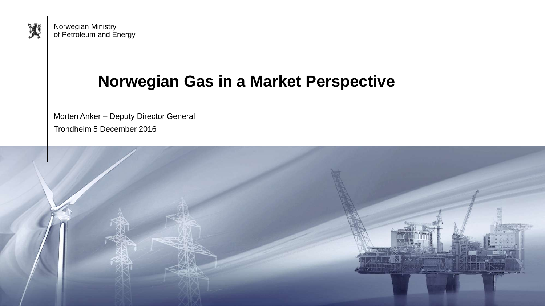

Norwegian Ministry of Petroleum and Energy

## **Norwegian Gas in a Market Perspective**

Morten Anker – Deputy Director General Trondheim 5 December 2016

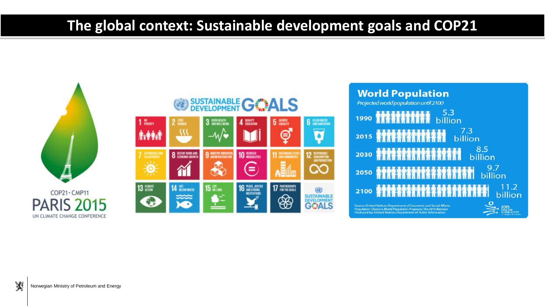## **The global context: Sustainable development goals and COP21**





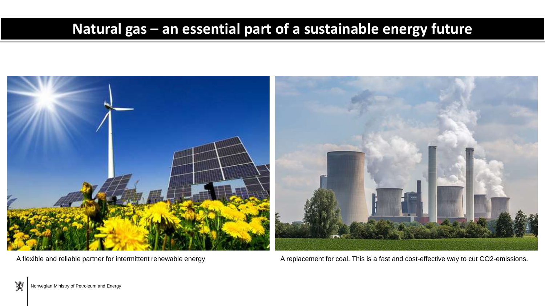## **Natural gas – an essential part of a sustainable energy future**



A flexible and reliable partner for intermittent renewable energy **A** replacement for coal. This is a fast and cost-effective way to cut CO2-emissions.

夾 Norwegian Ministry of Petroleum and Energy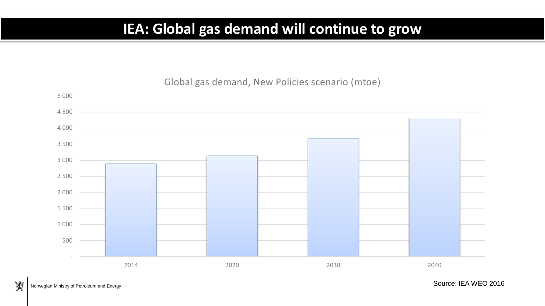#### **IEA: Global gas demand will continue to grow**

#### Global gas demand, New Policies scenario (mtoe)

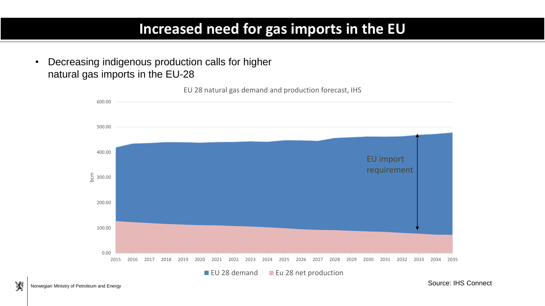#### **Increased need for gas imports in the EU**

• Decreasing indigenous production calls for higher natural gas imports in the EU-28



夾

Source: IHS Connect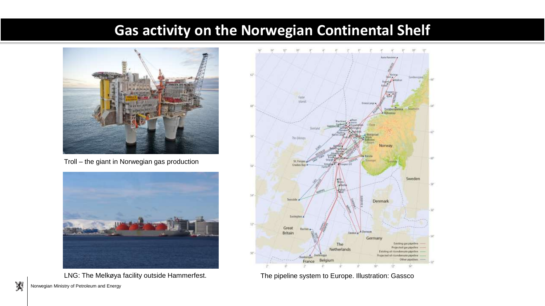#### **Gas activity on the Norwegian Continental Shelf**



Troll – the giant in Norwegian gas production



LNG: The Melkøya facility outside Hammerfest. The pipeline system to Europe. Illustration: Gassco



Norwegian Ministry of Petroleum and Energy

夾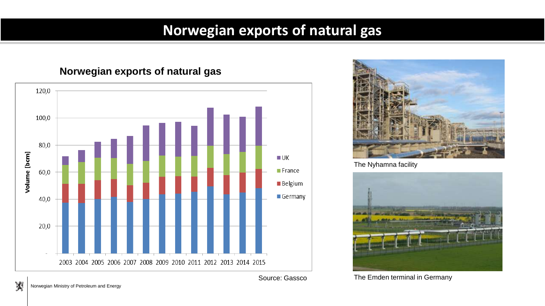## **Norwegian exports of natural gas**

#### **Norwegian exports of natural gas**





The Nyhamna facility



Source: Gassco The Emden terminal in Germany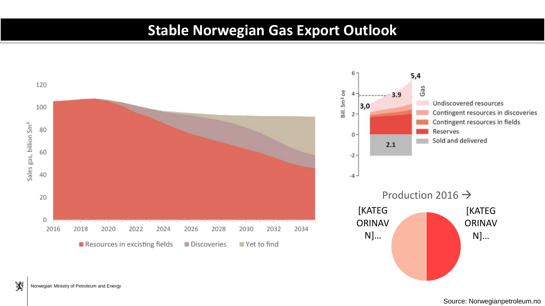## **Stable Norwegian Gas Export Outlook**



夾 Norwegian Ministry of Petroleum and Energy